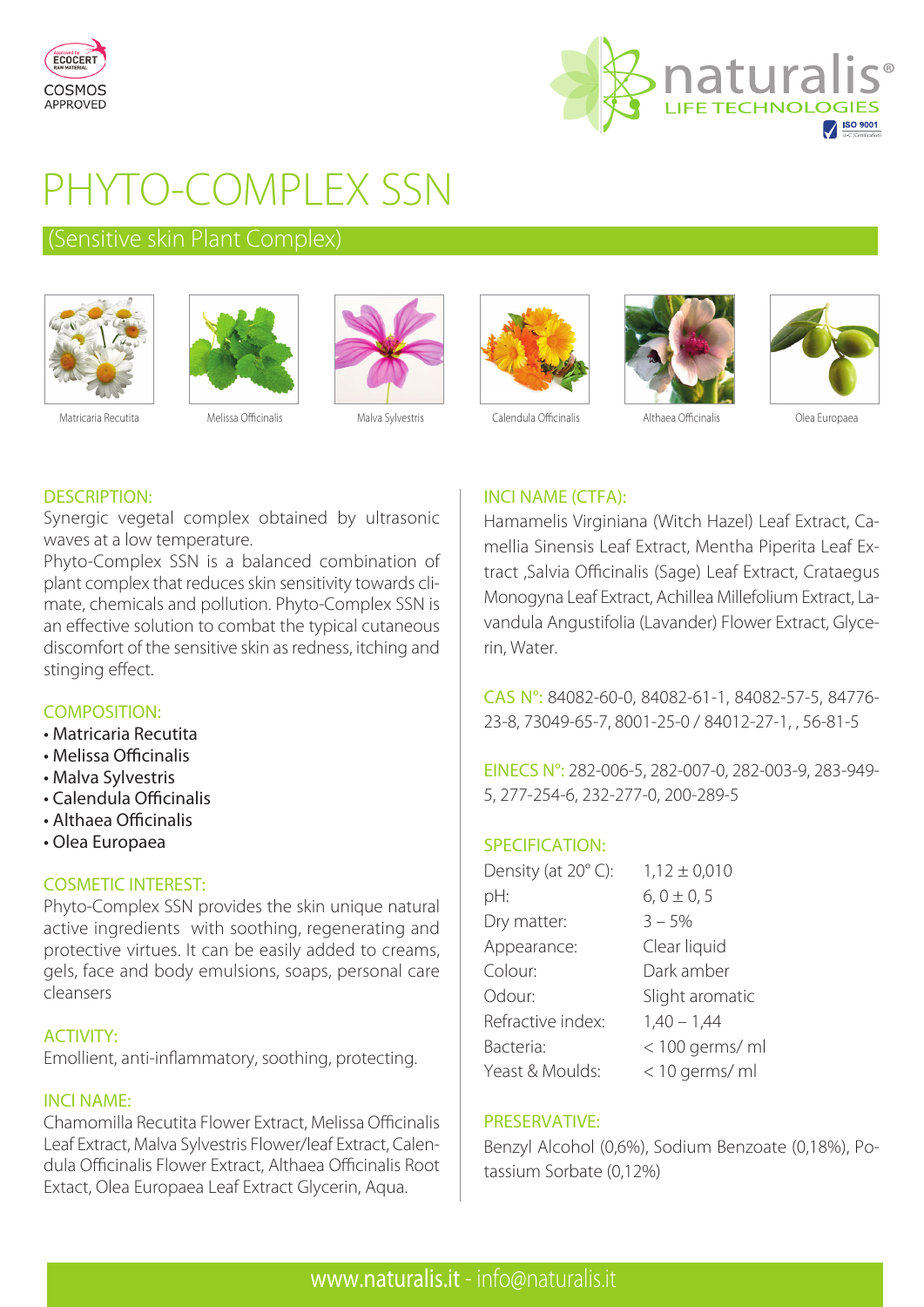



# PHYTO-COMPLEX SSN

# (Sensitive skin Plant Complex)











DESCRIPTION:

Synergic vegetal complex obtained by ultrasonic waves at a low temperature.

Phyto-Complex SSN is a balanced combination of plant complex that reduces skin sensitivity towards climate, chemicals and pollution. Phyto-Complex SSN is an effective solution to combat the typical cutaneous discomfort of the sensitive skin as redness, itching and stinging effect.

## COMPOSITION:

- Matricaria Recutita
- Melissa Officinalis
- Malva Sylvestris
- Calendula Officinalis
- Althaea Officinalis
- Olea Europaea

### COSMETIC INTEREST:

Phyto-Complex SSN provides the skin unique natural active ingredients with soothing, regenerating and protective virtues. It can be easily added to creams, gels, face and body emulsions, soaps, personal care cleansers

### ACTIVITY:

Emollient, anti-inflammatory, soothing, protecting.

### INCI NAME:

Chamomilla Recutita Flower Extract, Melissa Officinalis Leaf Extract, Malva Sylvestris Flower/leaf Extract, Calendula Officinalis Flower Extract, Althaea Officinalis Root Extact, Olea Europaea Leaf Extract Glycerin, Aqua.

## INCI NAME (CTFA):

Hamamelis Virginiana (Witch Hazel) Leaf Extract, Camellia Sinensis Leaf Extract, Mentha Piperita Leaf Extract ,Salvia Officinalis (Sage) Leaf Extract, Crataegus Monogyna Leaf Extract, Achillea Millefolium Extract, Lavandula Angustifolia (Lavander) Flower Extract, Glycerin, Water.

CAS N°: 84082-60-0, 84082-61-1, 84082-57-5, 84776- 23-8, 73049-65-7, 8001-25-0 / 84012-27-1, , 56-81-5

EINECS N°: 282-006-5, 282-007-0, 282-003-9, 283-949- 5, 277-254-6, 232-277-0, 200-289-5

## SPECIFICATION:

| Density (at 20°C): | $1,12 \pm 0,010$ |
|--------------------|------------------|
| pH:                | $6, 0 \pm 0, 5$  |
| Dry matter:        | $3 - 5%$         |
| Appearance:        | Clear liquid     |
| Colour:            | Dark amber       |
| Odour:             | Slight aromatic  |
| Refractive index:  | $1,40 - 1,44$    |
| Bacteria:          | < 100 germs/ ml  |
| Yeast & Moulds:    | < 10 germs/ ml   |

### PRESERVATIVE:

Benzyl Alcohol (0,6%), Sodium Benzoate (0,18%), Potassium Sorbate (0,12%)